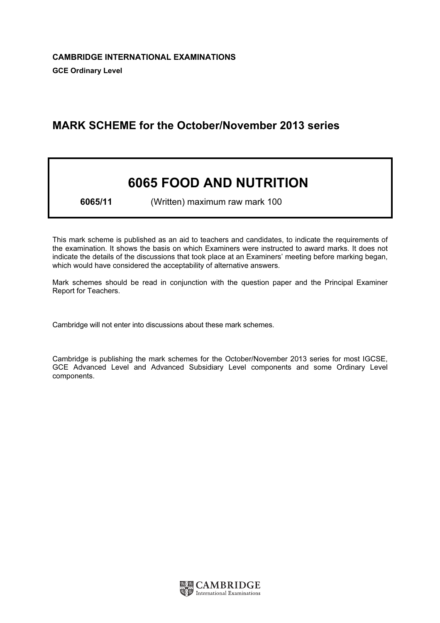# MARK SCHEME for the October/November 2013 series

# 6065 FOOD AND NUTRITION

6065/11 (Written) maximum raw mark 100

This mark scheme is published as an aid to teachers and candidates, to indicate the requirements of the examination. It shows the basis on which Examiners were instructed to award marks. It does not indicate the details of the discussions that took place at an Examiners' meeting before marking began, which would have considered the acceptability of alternative answers.

Mark schemes should be read in conjunction with the question paper and the Principal Examiner Report for Teachers.

Cambridge will not enter into discussions about these mark schemes.

Cambridge is publishing the mark schemes for the October/November 2013 series for most IGCSE, GCE Advanced Level and Advanced Subsidiary Level components and some Ordinary Level components.

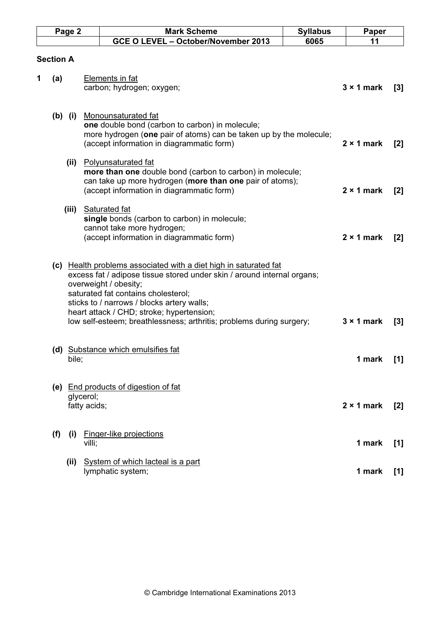| Page 2 |                  |                           | <b>Mark Scheme</b>                                                                                                                                                                                                                                                                                                                                                             | <b>Syllabus</b> | Paper             |                |
|--------|------------------|---------------------------|--------------------------------------------------------------------------------------------------------------------------------------------------------------------------------------------------------------------------------------------------------------------------------------------------------------------------------------------------------------------------------|-----------------|-------------------|----------------|
|        |                  |                           | GCE O LEVEL - October/November 2013                                                                                                                                                                                                                                                                                                                                            | 6065            | 11                |                |
|        | <b>Section A</b> |                           |                                                                                                                                                                                                                                                                                                                                                                                |                 |                   |                |
| 1      | (a)              |                           | <b>Elements in fat</b><br>carbon; hydrogen; oxygen;                                                                                                                                                                                                                                                                                                                            |                 | $3 \times 1$ mark | $[3]$          |
|        | (b) (i)          |                           | Monounsaturated fat<br>one double bond (carbon to carbon) in molecule;<br>more hydrogen (one pair of atoms) can be taken up by the molecule;<br>(accept information in diagrammatic form)                                                                                                                                                                                      |                 | $2 \times 1$ mark | [2]            |
|        | (ii)             |                           | Polyunsaturated fat<br>more than one double bond (carbon to carbon) in molecule;<br>can take up more hydrogen (more than one pair of atoms);<br>(accept information in diagrammatic form)                                                                                                                                                                                      |                 | $2 \times 1$ mark | $[2]$          |
|        | (iii)            |                           | <b>Saturated fat</b><br>single bonds (carbon to carbon) in molecule;<br>cannot take more hydrogen;<br>(accept information in diagrammatic form)                                                                                                                                                                                                                                |                 | $2 \times 1$ mark | $\mathbf{[2]}$ |
|        |                  |                           | (c) Health problems associated with a diet high in saturated fat<br>excess fat / adipose tissue stored under skin / around internal organs;<br>overweight / obesity;<br>saturated fat contains cholesterol;<br>sticks to / narrows / blocks artery walls;<br>heart attack / CHD; stroke; hypertension;<br>low self-esteem; breathlessness; arthritis; problems during surgery; |                 | $3 \times 1$ mark | $[3]$          |
|        | bile;            |                           | (d) Substance which emulsifies fat                                                                                                                                                                                                                                                                                                                                             |                 | 1 mark            | $[1]$          |
|        |                  | glycerol;<br>fatty acids; | (e) End products of digestion of fat                                                                                                                                                                                                                                                                                                                                           |                 | $2 \times 1$ mark | [2]            |
|        | (f)<br>(i)       | villi;                    | Finger-like projections                                                                                                                                                                                                                                                                                                                                                        |                 | 1 mark            | $[1]$          |
|        | (ii)             |                           | System of which lacteal is a part<br>lymphatic system;                                                                                                                                                                                                                                                                                                                         |                 | 1 mark            | $[1]$          |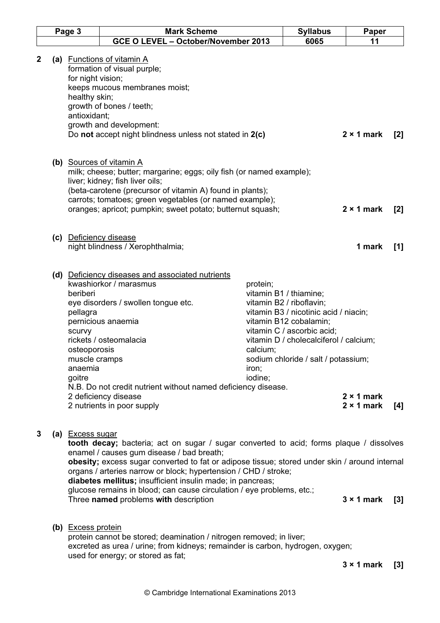| Page 3      |  |                                                                                      | <b>Mark Scheme</b>                                                                                                                                                                                                                                                                                                                                                                                                                                                                       |                                          | <b>Syllabus</b>                                                                                                                                                                                                                      | Paper                                  |                  |
|-------------|--|--------------------------------------------------------------------------------------|------------------------------------------------------------------------------------------------------------------------------------------------------------------------------------------------------------------------------------------------------------------------------------------------------------------------------------------------------------------------------------------------------------------------------------------------------------------------------------------|------------------------------------------|--------------------------------------------------------------------------------------------------------------------------------------------------------------------------------------------------------------------------------------|----------------------------------------|------------------|
|             |  |                                                                                      | GCE O LEVEL - October/November 2013                                                                                                                                                                                                                                                                                                                                                                                                                                                      |                                          | 6065                                                                                                                                                                                                                                 | 11                                     |                  |
| $\mathbf 2$ |  | for night vision;<br>healthy skin;<br>antioxidant;                                   | (a) Functions of vitamin A<br>formation of visual purple;<br>keeps mucous membranes moist;<br>growth of bones / teeth;<br>growth and development:<br>Do not accept night blindness unless not stated in 2(c)                                                                                                                                                                                                                                                                             |                                          |                                                                                                                                                                                                                                      | $2 \times 1$ mark                      | $\mathbf{[2]}$   |
|             |  |                                                                                      | (b) Sources of vitamin A<br>milk; cheese; butter; margarine; eggs; oily fish (or named example);<br>liver; kidney; fish liver oils;<br>(beta-carotene (precursor of vitamin A) found in plants);<br>carrots; tomatoes; green vegetables (or named example);<br>oranges; apricot; pumpkin; sweet potato; butternut squash;                                                                                                                                                                |                                          |                                                                                                                                                                                                                                      | $2 \times 1$ mark                      | [2]              |
|             |  |                                                                                      | (c) Deficiency disease<br>night blindness / Xerophthalmia;                                                                                                                                                                                                                                                                                                                                                                                                                               |                                          |                                                                                                                                                                                                                                      | 1 mark                                 | [1]              |
|             |  | beriberi<br>pellagra<br>scurvy<br>osteoporosis<br>muscle cramps<br>anaemia<br>goitre | (d) Deficiency diseases and associated nutrients<br>kwashiorkor / marasmus<br>eye disorders / swollen tongue etc.<br>pernicious anaemia<br>rickets / osteomalacia<br>N.B. Do not credit nutrient without named deficiency disease.<br>2 deficiency disease<br>2 nutrients in poor supply                                                                                                                                                                                                 | protein;<br>calcium;<br>iron;<br>iodine; | vitamin B1 / thiamine;<br>vitamin B2 / riboflavin;<br>vitamin B3 / nicotinic acid / niacin;<br>vitamin B12 cobalamin;<br>vitamin C / ascorbic acid;<br>vitamin D / cholecalciferol / calcium;<br>sodium chloride / salt / potassium; | $2 \times 1$ mark<br>$2 \times 1$ mark | $[4]$            |
| 3           |  | (a) Excess sugar                                                                     | tooth decay; bacteria; act on sugar / sugar converted to acid; forms plaque / dissolves<br>enamel / causes gum disease / bad breath;<br>obesity; excess sugar converted to fat or adipose tissue; stored under skin / around internal<br>organs / arteries narrow or block; hypertension / CHD / stroke;<br>diabetes mellitus; insufficient insulin made; in pancreas;<br>glucose remains in blood; can cause circulation / eye problems, etc.;<br>Three named problems with description |                                          |                                                                                                                                                                                                                                      | $3 \times 1$ mark                      | $\left[3\right]$ |
|             |  | (b) Excess protein                                                                   | protein cannot be stored; deamination / nitrogen removed; in liver;<br>excreted as urea / urine; from kidneys; remainder is carbon, hydrogen, oxygen;<br>used for energy; or stored as fat;                                                                                                                                                                                                                                                                                              |                                          |                                                                                                                                                                                                                                      |                                        |                  |

3 × 1 mark [3]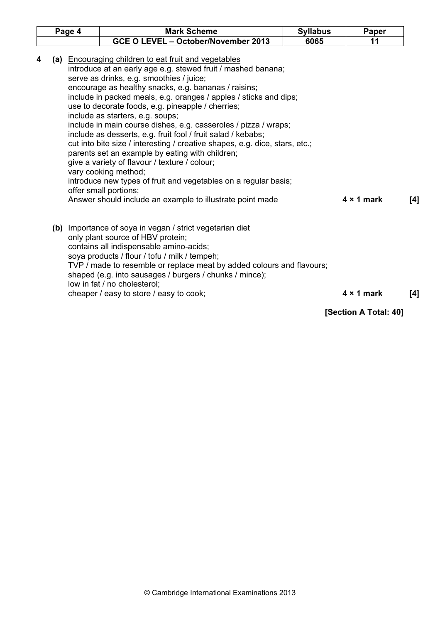|                                                                                                                                                                                                                                                                                                                                                                                                                                                                                                                                                                                                                                                                                                                                                                                                                                                                                                    |  | Page 4 | <b>Mark Scheme</b>                                                                                                                                                                                                                                                                                                                                                                                       | <b>Syllabus</b> | Paper                 |     |
|----------------------------------------------------------------------------------------------------------------------------------------------------------------------------------------------------------------------------------------------------------------------------------------------------------------------------------------------------------------------------------------------------------------------------------------------------------------------------------------------------------------------------------------------------------------------------------------------------------------------------------------------------------------------------------------------------------------------------------------------------------------------------------------------------------------------------------------------------------------------------------------------------|--|--------|----------------------------------------------------------------------------------------------------------------------------------------------------------------------------------------------------------------------------------------------------------------------------------------------------------------------------------------------------------------------------------------------------------|-----------------|-----------------------|-----|
|                                                                                                                                                                                                                                                                                                                                                                                                                                                                                                                                                                                                                                                                                                                                                                                                                                                                                                    |  |        | GCE O LEVEL - October/November 2013                                                                                                                                                                                                                                                                                                                                                                      | 6065            | 11                    |     |
| (a) Encouraging children to eat fruit and vegetables<br>4<br>introduce at an early age e.g. stewed fruit / mashed banana;<br>serve as drinks, e.g. smoothies / juice;<br>encourage as healthy snacks, e.g. bananas / raisins;<br>include in packed meals, e.g. oranges / apples / sticks and dips;<br>use to decorate foods, e.g. pineapple / cherries;<br>include as starters, e.g. soups;<br>include in main course dishes, e.g. casseroles / pizza / wraps;<br>include as desserts, e.g. fruit fool / fruit salad / kebabs;<br>cut into bite size / interesting / creative shapes, e.g. dice, stars, etc.;<br>parents set an example by eating with children;<br>give a variety of flavour / texture / colour;<br>vary cooking method;<br>introduce new types of fruit and vegetables on a regular basis;<br>offer small portions;<br>Answer should include an example to illustrate point made |  |        | $4 \times 1$ mark                                                                                                                                                                                                                                                                                                                                                                                        | [4]             |                       |     |
|                                                                                                                                                                                                                                                                                                                                                                                                                                                                                                                                                                                                                                                                                                                                                                                                                                                                                                    |  |        | (b) Importance of soya in vegan / strict vegetarian diet<br>only plant source of HBV protein;<br>contains all indispensable amino-acids;<br>soya products / flour / tofu / milk / tempeh;<br>TVP / made to resemble or replace meat by added colours and flavours;<br>shaped (e.g. into sausages / burgers / chunks / mince);<br>low in fat / no cholesterol;<br>cheaper / easy to store / easy to cook; |                 | $4 \times 1$ mark     | [4] |
|                                                                                                                                                                                                                                                                                                                                                                                                                                                                                                                                                                                                                                                                                                                                                                                                                                                                                                    |  |        |                                                                                                                                                                                                                                                                                                                                                                                                          |                 | [Section A Total: 40] |     |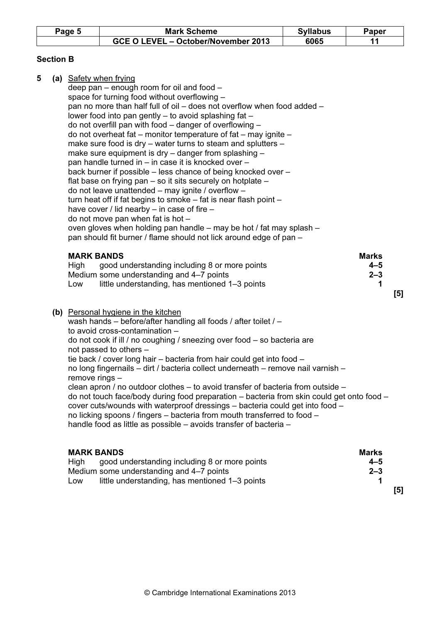| Page 5 | <b>Mark Scheme</b>                  | Svllabus | 'aper |
|--------|-------------------------------------|----------|-------|
|        | GCE O LEVEL - October/November 2013 | 6065     |       |

# Section B

| 5 | (a) Safety when frying<br>deep pan - enough room for oil and food -<br>space for turning food without overflowing -<br>pan no more than half full of oil - does not overflow when food added -<br>lower food into pan gently - to avoid splashing fat -<br>do not overfill pan with food – danger of overflowing –<br>do not overheat fat - monitor temperature of fat - may ignite -<br>make sure food is dry - water turns to steam and splutters -<br>make sure equipment is dry – danger from splashing –<br>pan handle turned in – in case it is knocked over –<br>back burner if possible – less chance of being knocked over –<br>flat base on frying pan – so it sits securely on hotplate –<br>do not leave unattended - may ignite / overflow -<br>turn heat off if fat begins to smoke - fat is near flash point -<br>have cover / lid nearby $-$ in case of fire $-$<br>do not move pan when fat is hot -<br>oven gloves when holding pan handle - may be hot / fat may splash -<br>pan should fit burner / flame should not lick around edge of pan - |                                         |     |
|---|--------------------------------------------------------------------------------------------------------------------------------------------------------------------------------------------------------------------------------------------------------------------------------------------------------------------------------------------------------------------------------------------------------------------------------------------------------------------------------------------------------------------------------------------------------------------------------------------------------------------------------------------------------------------------------------------------------------------------------------------------------------------------------------------------------------------------------------------------------------------------------------------------------------------------------------------------------------------------------------------------------------------------------------------------------------------|-----------------------------------------|-----|
|   | <b>MARK BANDS</b><br>good understanding including 8 or more points<br>High<br>Medium some understanding and 4-7 points<br>little understanding, has mentioned 1-3 points<br>Low                                                                                                                                                                                                                                                                                                                                                                                                                                                                                                                                                                                                                                                                                                                                                                                                                                                                                    | <b>Marks</b><br>$4 - 5$<br>$2 - 3$<br>1 | [5] |
|   | (b) Personal hygiene in the kitchen<br>wash hands - before/after handling all foods / after toilet / -<br>to avoid cross-contamination -<br>do not cook if ill / no coughing / sneezing over food – so bacteria are<br>not passed to others -<br>tie back / cover long hair – bacteria from hair could get into food –<br>no long fingernails - dirt / bacteria collect underneath - remove nail varnish -<br>remove rings -<br>clean apron / no outdoor clothes - to avoid transfer of bacteria from outside -<br>do not touch face/body during food preparation – bacteria from skin could get onto food –<br>cover cuts/wounds with waterproof dressings – bacteria could get into food –<br>no licking spoons / fingers – bacteria from mouth transferred to food –<br>handle food as little as possible - avoids transfer of bacteria -                                                                                                                                                                                                                       |                                         |     |
|   | <b>MARK BANDS</b>                                                                                                                                                                                                                                                                                                                                                                                                                                                                                                                                                                                                                                                                                                                                                                                                                                                                                                                                                                                                                                                  | <b>Marks</b>                            |     |

| good understanding including 8 or more points<br>Hiah | $4 - 5$ |
|-------------------------------------------------------|---------|
| Medium some understanding and 4-7 points              | $2 - 3$ |
| little understanding, has mentioned 1-3 points<br>LOW |         |
|                                                       | [5]     |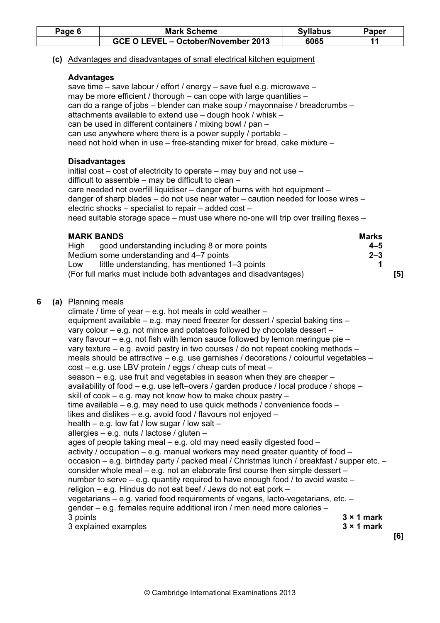| Page 6 | <b>Mark Scheme</b>                  | <b>Syllabus</b> | Paper |
|--------|-------------------------------------|-----------------|-------|
|        | GCE O LEVEL - October/November 2013 | 6065            |       |

#### (c) Advantages and disadvantages of small electrical kitchen equipment

#### Advantages

save time – save labour / effort / energy – save fuel e.g. microwave – may be more efficient / thorough – can cope with large quantities – can do a range of jobs – blender can make soup / mayonnaise / breadcrumbs – attachments available to extend use – dough hook / whisk – can be used in different containers / mixing bowl / pan – can use anywhere where there is a power supply / portable – need not hold when in use – free-standing mixer for bread, cake mixture –

#### **Disadvantages**

initial cost – cost of electricity to operate – may buy and not use – difficult to assemble – may be difficult to clean – care needed not overfill liquidiser – danger of burns with hot equipment – danger of sharp blades – do not use near water – caution needed for loose wires – electric shocks – specialist to repair – added cost – need suitable storage space – must use where no-one will trip over trailing flexes –

| <b>MARK BANDS</b>                                               | <b>Marks</b> |
|-----------------------------------------------------------------|--------------|
| good understanding including 8 or more points<br>Hiah           | $4 - 5$      |
| Medium some understanding and 4-7 points                        | $2 - 3$      |
| little understanding, has mentioned 1-3 points<br>LOW           |              |
| (For full marks must include both advantages and disadvantages) | [5]          |

#### 6 (a) Planning meals

 climate / time of year – e.g. hot meals in cold weather – equipment available – e.g. may need freezer for dessert / special baking tins – vary colour – e.g. not mince and potatoes followed by chocolate dessert – vary flavour – e.g. not fish with lemon sauce followed by lemon meringue pie – vary texture – e.g. avoid pastry in two courses / do not repeat cooking methods – meals should be attractive – e.g. use garnishes / decorations / colourful vegetables – cost – e.g. use LBV protein / eggs / cheap cuts of meat – season – e.g. use fruit and vegetables in season when they are cheaper – availability of food – e.g. use left–overs / garden produce / local produce / shops – skill of cook – e.g. may not know how to make choux pastry – time available – e.g. may need to use quick methods / convenience foods – likes and dislikes – e.g. avoid food / flavours not enjoyed – health – e.g. low fat / low sugar / low salt – allergies – e.g. nuts / lactose / gluten – ages of people taking meal – e.g. old may need easily digested food – activity / occupation – e.g. manual workers may need greater quantity of food – occasion – e.g. birthday party / packed meal / Christmas lunch / breakfast / supper etc. – consider whole meal – e.g. not an elaborate first course then simple dessert – number to serve – e.g. quantity required to have enough food / to avoid waste – religion – e.g. Hindus do not eat beef / Jews do not eat pork – vegetarians – e.g. varied food requirements of vegans, lacto-vegetarians, etc. – gender – e.g. females require additional iron / men need more calories – 3 points  $\overline{\phantom{a}}$  3  $\times$  1 mark 3 explained examples 3 × 1 mark [6]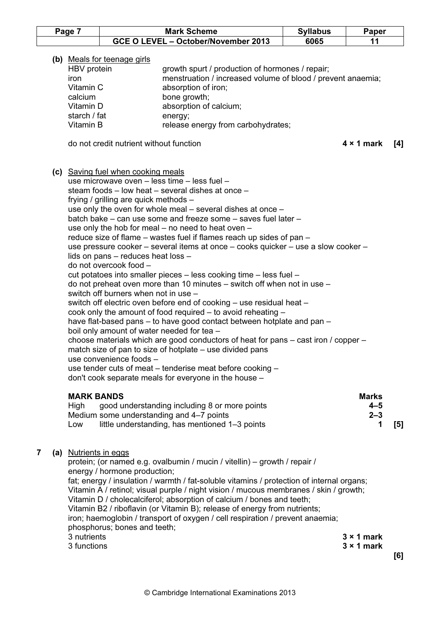| Page | <b>Mark Scheme</b>                  | <b>Syllabus</b> | Paper |
|------|-------------------------------------|-----------------|-------|
|      | GCE O LEVEL - October/November 2013 | 6065            |       |

#### (b) Meals for teenage girls

| HBV protein  | growth spurt / production of hormones / repair;             |
|--------------|-------------------------------------------------------------|
| iron         | menstruation / increased volume of blood / prevent anaemia; |
| Vitamin C    | absorption of iron;                                         |
| calcium      | bone growth;                                                |
| Vitamin D    | absorption of calcium;                                      |
| starch / fat | energy;                                                     |
| Vitamin B    | release energy from carbohydrates;                          |
|              |                                                             |

do not credit nutrient without function **4 × 1 mark** [4]

(c) Saving fuel when cooking meals

| use microwave oven - less time - less fuel -                                        |
|-------------------------------------------------------------------------------------|
| steam foods – low heat – several dishes at once –                                   |
| frying / grilling are quick methods -                                               |
| use only the oven for whole meal $-$ several dishes at once $-$                     |
| batch bake – can use some and freeze some – saves fuel later –                      |
| use only the hob for meal $-$ no need to heat oven $-$                              |
| reduce size of flame – wastes fuel if flames reach up sides of pan –                |
| use pressure cooker – several items at once – cooks quicker – use a slow cooker –   |
| lids on pans – reduces heat loss –                                                  |
| do not overcook food -                                                              |
| cut potatoes into smaller pieces – less cooking time – less fuel –                  |
| do not preheat oven more than 10 minutes $-$ switch off when not in use $-$         |
| switch off burners when not in use -                                                |
| switch off electric oven before end of cooking - use residual heat -                |
| cook only the amount of food required $-$ to avoid reheating $-$                    |
| have flat-based pans – to have good contact between hotplate and pan –              |
| boil only amount of water needed for tea -                                          |
| choose materials which are good conductors of heat for pans – cast iron / copper –  |
| match size of pan to size of hotplate – use divided pans<br>use convenience foods - |
| use tender cuts of meat – tenderise meat before cooking –                           |
| don't cook separate meals for everyone in the house –                               |
|                                                                                     |
|                                                                                     |

| <b>MARK BANDS</b>                                     | <b>Marks</b> |     |
|-------------------------------------------------------|--------------|-----|
| good understanding including 8 or more points<br>High | $4 - 5$      |     |
| Medium some understanding and 4-7 points              | $2 - 3$      |     |
| little understanding, has mentioned 1-3 points<br>LOW |              | [5] |

### 7 (a) Nutrients in eggs

 protein; (or named e.g. ovalbumin / mucin / vitellin) – growth / repair / energy / hormone production; fat; energy / insulation / warmth / fat-soluble vitamins / protection of internal organs; Vitamin A / retinol; visual purple / night vision / mucous membranes / skin / growth; Vitamin D / cholecalciferol; absorption of calcium / bones and teeth; Vitamin B2 / riboflavin (or Vitamin B); release of energy from nutrients; iron; haemoglobin / transport of oxygen / cell respiration / prevent anaemia; phosphorus; bones and teeth;  $3 \times 1$  mark  $3 \times 1$  mark [6]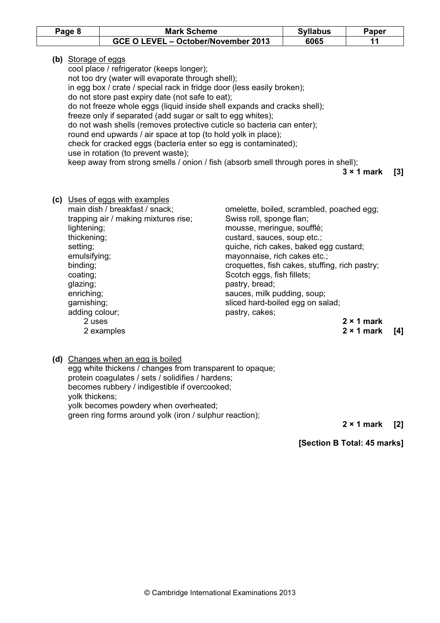| Page 8 | <b>Mark Scheme</b>                  | <b>Syllabus</b> | Paper |
|--------|-------------------------------------|-----------------|-------|
|        | GCE O LEVEL - October/November 2013 | 6065            |       |

(b) Storage of eggs

 cool place / refrigerator (keeps longer); not too dry (water will evaporate through shell); in egg box / crate / special rack in fridge door (less easily broken); do not store past expiry date (not safe to eat); do not freeze whole eggs (liquid inside shell expands and cracks shell); freeze only if separated (add sugar or salt to egg whites); do not wash shells (removes protective cuticle so bacteria can enter); round end upwards / air space at top (to hold yolk in place); check for cracked eggs (bacteria enter so egg is contaminated); use in rotation (to prevent waste); keep away from strong smells / onion / fish (absorb smell through pores in shell);

3 × 1 mark [3]

- (c) Uses of eggs with examples main dish / breakfast / snack; omelette, boiled, scrambled, poached egg; trapping air / making mixtures rise; Swiss roll, sponge flan; lightening; mousse, meringue, soufflé; thickening; thickening; this custard, sauces, soup etc.; setting; etting; setting; setting; setting; setting; setting; setting; setting; setting; setting; set of  $\alpha$ emulsifying; emulsifying; emulsifying; mayonnaise, rich cakes etc.; binding; croquettes, fish cakes, stuffing, rich pastry; coating; coating; see all the set of the Scotch eggs, fish fillets; glazing; pastry, bread; enriching; sauces, milk pudding, soup; garnishing; sliced hard-boiled egg on salad; adding colour; example and pastry, cakes; 2 uses 2 × 1 mark 2 examples 2 and 2 × 1 mark [4]
	- (d) Changes when an egg is boiled

 egg white thickens / changes from transparent to opaque; protein coagulates / sets / solidifies / hardens; becomes rubbery / indigestible if overcooked; yolk thickens; yolk becomes powdery when overheated; green ring forms around yolk (iron / sulphur reaction);

2 × 1 mark [2]

[Section B Total: 45 marks]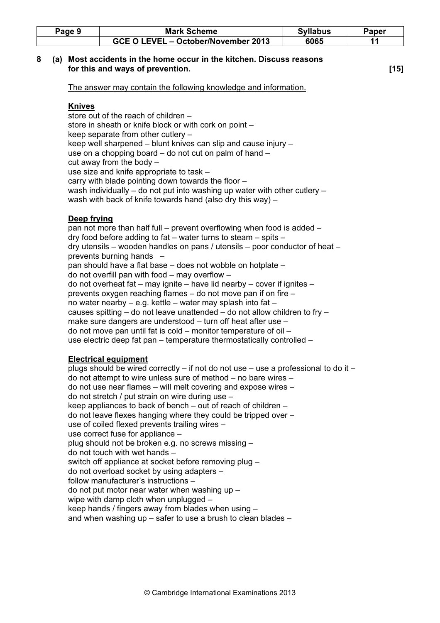| <sup>2</sup> age 9 | <b>Mark Scheme</b>                  | <b>Syllabus</b> | Paper |
|--------------------|-------------------------------------|-----------------|-------|
|                    | GCE O LEVEL - October/November 2013 | 6065            |       |

#### 8 (a) Most accidents in the home occur in the kitchen. Discuss reasons for this and ways of prevention. **Example 20** is the set of the set of the set of the set of the set of the set o

The answer may contain the following knowledge and information.

### Knives

 store out of the reach of children – store in sheath or knife block or with cork on point – keep separate from other cutlery – keep well sharpened – blunt knives can slip and cause injury – use on a chopping board – do not cut on palm of hand – cut away from the body  $$  use size and knife appropriate to task – carry with blade pointing down towards the floor – wash individually – do not put into washing up water with other cutlery – wash with back of knife towards hand (also dry this way) –

## Deep frying

 pan not more than half full – prevent overflowing when food is added – dry food before adding to fat – water turns to steam – spits – dry utensils – wooden handles on pans / utensils – poor conductor of heat – prevents burning hands – pan should have a flat base – does not wobble on hotplate – do not overfill pan with food – may overflow – do not overheat fat – may ignite – have lid nearby – cover if ignites – prevents oxygen reaching flames – do not move pan if on fire – no water nearby – e.g. kettle – water may splash into fat – causes spitting – do not leave unattended – do not allow children to fry – make sure dangers are understood – turn off heat after use – do not move pan until fat is cold – monitor temperature of oil – use electric deep fat pan – temperature thermostatically controlled –

# Electrical equipment

 plugs should be wired correctly – if not do not use – use a professional to do it – do not attempt to wire unless sure of method – no bare wires – do not use near flames – will melt covering and expose wires – do not stretch / put strain on wire during use – keep appliances to back of bench – out of reach of children – do not leave flexes hanging where they could be tripped over – use of coiled flexed prevents trailing wires – use correct fuse for appliance – plug should not be broken e.g. no screws missing – do not touch with wet hands – switch off appliance at socket before removing plug – do not overload socket by using adapters – follow manufacturer's instructions – do not put motor near water when washing up – wipe with damp cloth when unplugged – keep hands / fingers away from blades when using – and when washing up – safer to use a brush to clean blades –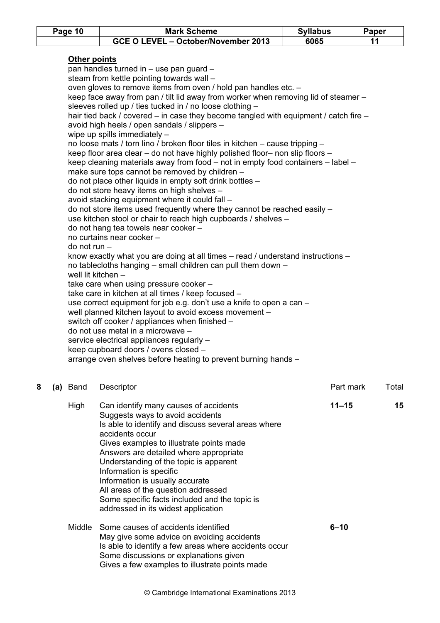|   | Page 10                        | <b>Mark Scheme</b>                                                                                                                                                                                                                                                                                                                                                                                                                                                                                                                                                                                                                                                                                                                                                                                                                                                                                                                                                                                                                                                                                                                                                                                                                                                                                                                                                                                                                                                                                                                                                                                                                                                                                                                                                                                                                 | <b>Syllabus</b> | Paper                            |
|---|--------------------------------|------------------------------------------------------------------------------------------------------------------------------------------------------------------------------------------------------------------------------------------------------------------------------------------------------------------------------------------------------------------------------------------------------------------------------------------------------------------------------------------------------------------------------------------------------------------------------------------------------------------------------------------------------------------------------------------------------------------------------------------------------------------------------------------------------------------------------------------------------------------------------------------------------------------------------------------------------------------------------------------------------------------------------------------------------------------------------------------------------------------------------------------------------------------------------------------------------------------------------------------------------------------------------------------------------------------------------------------------------------------------------------------------------------------------------------------------------------------------------------------------------------------------------------------------------------------------------------------------------------------------------------------------------------------------------------------------------------------------------------------------------------------------------------------------------------------------------------|-----------------|----------------------------------|
|   |                                | GCE O LEVEL - October/November 2013                                                                                                                                                                                                                                                                                                                                                                                                                                                                                                                                                                                                                                                                                                                                                                                                                                                                                                                                                                                                                                                                                                                                                                                                                                                                                                                                                                                                                                                                                                                                                                                                                                                                                                                                                                                                | 6065            | 11                               |
|   | Other points<br>$do not run -$ | pan handles turned in - use pan guard -<br>steam from kettle pointing towards wall -<br>oven gloves to remove items from oven / hold pan handles etc. -<br>keep face away from pan / tilt lid away from worker when removing lid of steamer -<br>sleeves rolled up / ties tucked in / no loose clothing -<br>hair tied back / covered – in case they become tangled with equipment / catch fire –<br>avoid high heels / open sandals / slippers -<br>wipe up spills immediately -<br>no loose mats / torn lino / broken floor tiles in kitchen - cause tripping -<br>keep floor area clear - do not have highly polished floor- non slip floors -<br>keep cleaning materials away from food - not in empty food containers - label -<br>make sure tops cannot be removed by children -<br>do not place other liquids in empty soft drink bottles -<br>do not store heavy items on high shelves -<br>avoid stacking equipment where it could fall -<br>do not store items used frequently where they cannot be reached easily -<br>use kitchen stool or chair to reach high cupboards / shelves -<br>do not hang tea towels near cooker -<br>no curtains near cooker -<br>know exactly what you are doing at all times $-$ read / understand instructions $-$<br>no tablecloths hanging – small children can pull them down –<br>well lit kitchen -<br>take care when using pressure cooker -<br>take care in kitchen at all times / keep focused -<br>use correct equipment for job e.g. don't use a knife to open a can -<br>well planned kitchen layout to avoid excess movement -<br>switch off cooker / appliances when finished -<br>do not use metal in a microwave -<br>service electrical appliances regularly -<br>keep cupboard doors / ovens closed -<br>arrange oven shelves before heating to prevent burning hands - |                 |                                  |
| 8 | <u>Band</u><br>(a)             | Descriptor                                                                                                                                                                                                                                                                                                                                                                                                                                                                                                                                                                                                                                                                                                                                                                                                                                                                                                                                                                                                                                                                                                                                                                                                                                                                                                                                                                                                                                                                                                                                                                                                                                                                                                                                                                                                                         |                 | <b>Part mark</b><br><b>Total</b> |
|   | High                           | Can identify many causes of accidents<br>Suggests ways to avoid accidents<br>Is able to identify and discuss several areas where<br>accidents occur<br>Gives examples to illustrate points made<br>Answers are detailed where appropriate<br>Understanding of the topic is apparent<br>Information is specific<br>Information is usually accurate<br>All areas of the question addressed                                                                                                                                                                                                                                                                                                                                                                                                                                                                                                                                                                                                                                                                                                                                                                                                                                                                                                                                                                                                                                                                                                                                                                                                                                                                                                                                                                                                                                           | $11 - 15$       | 15                               |

Middle Some causes of accidents identified 6-10 May give some advice on avoiding accidents Is able to identify a few areas where accidents occur Some discussions or explanations given Gives a few examples to illustrate points made

Some specific facts included and the topic is

addressed in its widest application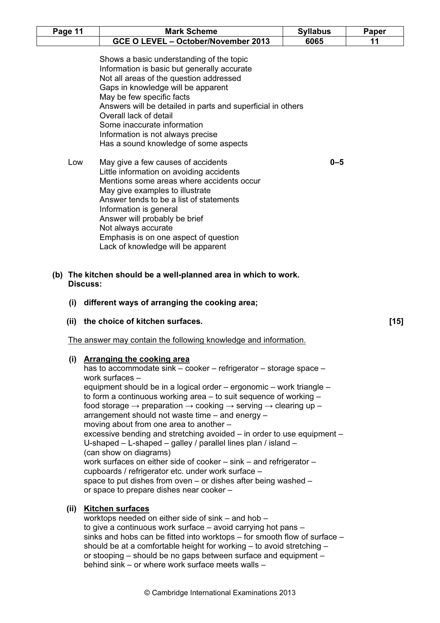| Page 11 | <b>Mark Scheme</b>                                                                                                                                                                                                                                                                                                                                                                                          | <b>Syllabus</b> | Paper  |
|---------|-------------------------------------------------------------------------------------------------------------------------------------------------------------------------------------------------------------------------------------------------------------------------------------------------------------------------------------------------------------------------------------------------------------|-----------------|--------|
|         | GCE O LEVEL - October/November 2013                                                                                                                                                                                                                                                                                                                                                                         | 6065            | 11     |
|         | Shows a basic understanding of the topic<br>Information is basic but generally accurate<br>Not all areas of the question addressed<br>Gaps in knowledge will be apparent<br>May be few specific facts<br>Answers will be detailed in parts and superficial in others<br>Overall lack of detail<br>Some inaccurate information<br>Information is not always precise<br>Has a sound knowledge of some aspects |                 |        |
| Low     | May give a few causes of accidents<br>Little information on avoiding accidents<br>Mentions some areas where accidents occur<br>May give examples to illustrate<br>Answer tends to be a list of statements<br>Information is general<br>Answer will probably be brief<br>Not always accurate<br>Emphasis is on one aspect of question<br>Lack of knowledge will be apparent                                  | $0 - 5$         |        |
| (i)     | (b) The kitchen should be a well-planned area in which to work.<br><b>Discuss:</b><br>different ways of arranging the cooking area;                                                                                                                                                                                                                                                                         |                 |        |
| (iii)   | the choice of kitchen surfaces.                                                                                                                                                                                                                                                                                                                                                                             |                 | $[15]$ |
|         | The answer may contain the following knowledge and information.                                                                                                                                                                                                                                                                                                                                             |                 |        |
|         |                                                                                                                                                                                                                                                                                                                                                                                                             |                 |        |

- cupboards / refrigerator etc. under work surface space to put dishes from oven – or dishes after being washed – or space to prepare dishes near cooker –
- (ii) Kitchen surfaces

```
 worktops needed on either side of sink – and hob – 
to give a continuous work surface – avoid carrying hot pans – 
sinks and hobs can be fitted into worktops – for smooth flow of surface – 
should be at a comfortable height for working – to avoid stretching – 
or stooping – should be no gaps between surface and equipment – 
behind sink – or where work surface meets walls –
```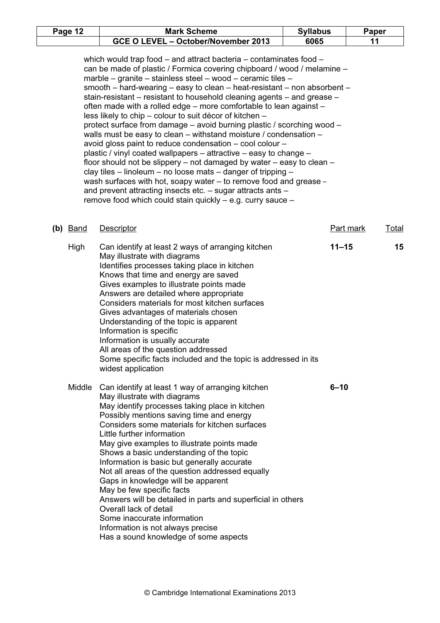| Page 12 | <b>Mark Scheme</b>                  | <b>Syllabus</b> | Paper |
|---------|-------------------------------------|-----------------|-------|
|         | GCE O LEVEL - October/November 2013 | 6065            |       |

 which would trap food – and attract bacteria – contaminates food – can be made of plastic / Formica covering chipboard / wood / melamine – marble – granite – stainless steel – wood – ceramic tiles – smooth – hard-wearing – easy to clean – heat-resistant – non absorbent – stain-resistant – resistant to household cleaning agents – and grease – often made with a rolled edge – more comfortable to lean against – less likely to chip – colour to suit décor of kitchen – protect surface from damage – avoid burning plastic / scorching wood – walls must be easy to clean – withstand moisture / condensation – avoid gloss paint to reduce condensation – cool colour – plastic / vinyl coated wallpapers – attractive – easy to change – floor should not be slippery – not damaged by water – easy to clean – clay tiles – linoleum – no loose mats – danger of tripping – wash surfaces with hot, soapy water – to remove food and grease – and prevent attracting insects etc. – sugar attracts ants – remove food which could stain quickly – e.g. curry sauce –

| $(b)$ Band | Descriptor                                                                                                                                                                                                                                                                                                                                                                                                                                                                                                                                                                                                                                                                                                                                 | <b>Part mark</b> | <b>Total</b> |
|------------|--------------------------------------------------------------------------------------------------------------------------------------------------------------------------------------------------------------------------------------------------------------------------------------------------------------------------------------------------------------------------------------------------------------------------------------------------------------------------------------------------------------------------------------------------------------------------------------------------------------------------------------------------------------------------------------------------------------------------------------------|------------------|--------------|
| High       | Can identify at least 2 ways of arranging kitchen<br>May illustrate with diagrams<br>Identifies processes taking place in kitchen<br>Knows that time and energy are saved<br>Gives examples to illustrate points made<br>Answers are detailed where appropriate<br>Considers materials for most kitchen surfaces<br>Gives advantages of materials chosen<br>Understanding of the topic is apparent<br>Information is specific<br>Information is usually accurate<br>All areas of the question addressed<br>Some specific facts included and the topic is addressed in its<br>widest application                                                                                                                                            | $11 - 15$        | 15           |
|            | Middle Can identify at least 1 way of arranging kitchen<br>May illustrate with diagrams<br>May identify processes taking place in kitchen<br>Possibly mentions saving time and energy<br>Considers some materials for kitchen surfaces<br>Little further information<br>May give examples to illustrate points made<br>Shows a basic understanding of the topic<br>Information is basic but generally accurate<br>Not all areas of the question addressed equally<br>Gaps in knowledge will be apparent<br>May be few specific facts<br>Answers will be detailed in parts and superficial in others<br>Overall lack of detail<br>Some inaccurate information<br>Information is not always precise<br>Has a sound knowledge of some aspects | $6 - 10$         |              |